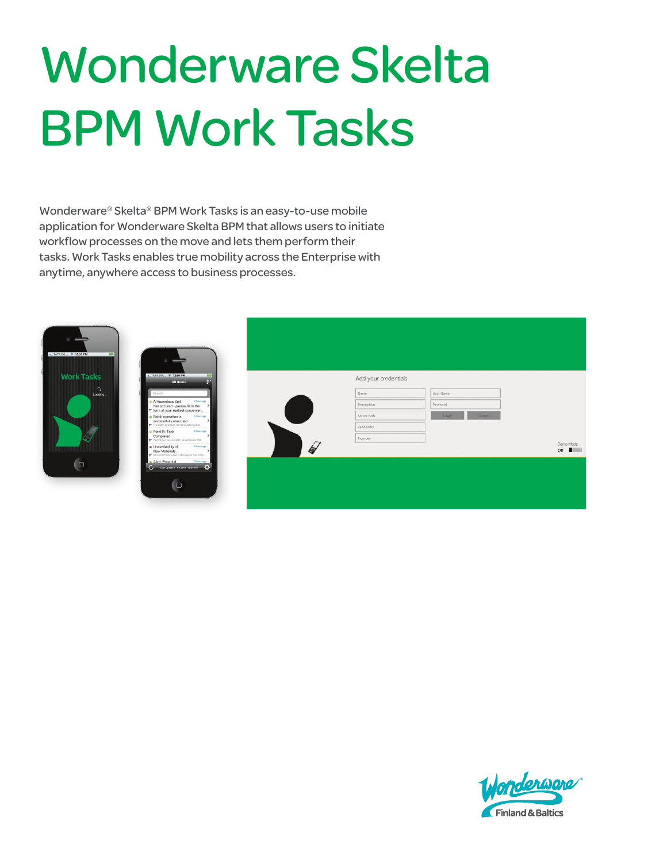# Wonderware Skelta BPM Work Tasks

Wonderware® Skelta® BPM Work Tasks is an easy-to-use mobile application for Wonderware Skelta BPM that allows users to initiate workflow processes on the move and lets them perform their tasks. Work Tasks enables true mobility across the Enterprise with anytime, anywhere access to business processes.



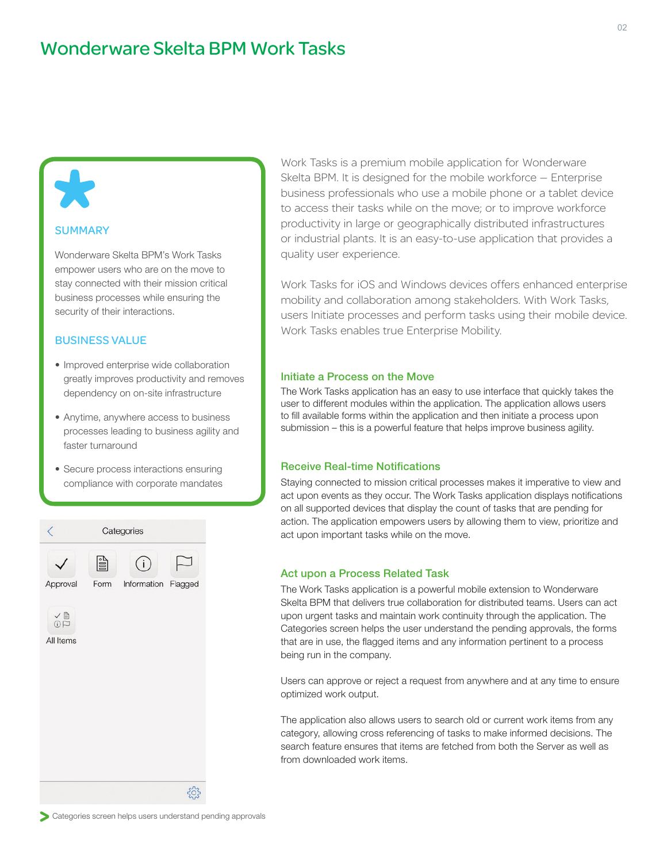## **SUMMARY**

yk,

Wonderware Skelta BPM's Work Tasks empower users who are on the move to stay connected with their mission critical business processes while ensuring the security of their interactions.

## BUSINESS VALUE

- Improved enterprise wide collaboration greatly improves productivity and removes dependency on on-site infrastructure
- Anytime, anywhere access to business processes leading to business agility and faster turnaround
- Secure process interactions ensuring compliance with corporate mandates



Work Tasks is a premium mobile application for Wonderware Skelta BPM. It is designed for the mobile workforce — Enterprise business professionals who use a mobile phone or a tablet device to access their tasks while on the move; or to improve workforce productivity in large or geographically distributed infrastructures or industrial plants. It is an easy-to-use application that provides a quality user experience.

Work Tasks for iOS and Windows devices offers enhanced enterprise mobility and collaboration among stakeholders. With Work Tasks, users Initiate processes and perform tasks using their mobile device. Work Tasks enables true Enterprise Mobility.

## Initiate a Process on the Move

The Work Tasks application has an easy to use interface that quickly takes the user to different modules within the application. The application allows users to fill available forms within the application and then initiate a process upon submission – this is a powerful feature that helps improve business agility.

#### Receive Real-time Notifications

Staying connected to mission critical processes makes it imperative to view and act upon events as they occur. The Work Tasks application displays notifications on all supported devices that display the count of tasks that are pending for action. The application empowers users by allowing them to view, prioritize and act upon important tasks while on the move.

#### Act upon a Process Related Task

The Work Tasks application is a powerful mobile extension to Wonderware Skelta BPM that delivers true collaboration for distributed teams. Users can act upon urgent tasks and maintain work continuity through the application. The Categories screen helps the user understand the pending approvals, the forms that are in use, the flagged items and any information pertinent to a process being run in the company.

Users can approve or reject a request from anywhere and at any time to ensure optimized work output.

The application also allows users to search old or current work items from any category, allowing cross referencing of tasks to make informed decisions. The search feature ensures that items are fetched from both the Server as well as from downloaded work items.

Categories screen helps users understand pending approvals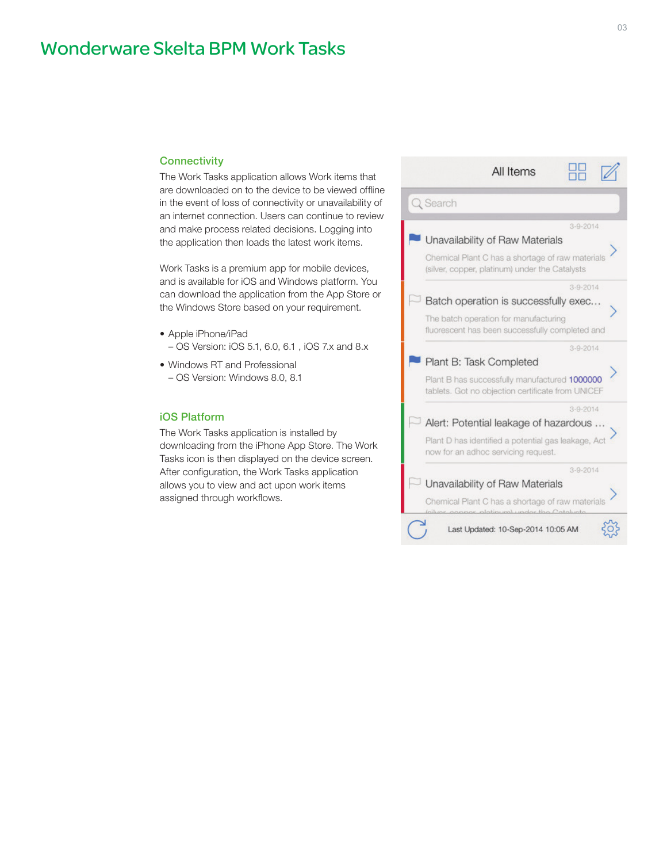# Wonderware Skelta BPM Work Tasks

## **Connectivity**

The Work Tasks application allows Work items that are downloaded on to the device to be viewed offline in the event of loss of connectivity or unavailability of an internet connection. Users can continue to review and make process related decisions. Logging into the application then loads the latest work items.

Work Tasks is a premium app for mobile devices, and is available for iOS and Windows platform. You can download the application from the App Store or the Windows Store based on your requirement.

- Apple iPhone/iPad – OS Version: iOS 5.1, 6.0, 6.1 , iOS 7.x and 8.x
- Windows RT and Professional – OS Version: Windows 8.0, 8.1

## iOS Platform

The Work Tasks application is installed by downloading from the iPhone App Store. The Work Tasks icon is then displayed on the device screen. After configuration, the Work Tasks application allows you to view and act upon work items assigned through workflows.